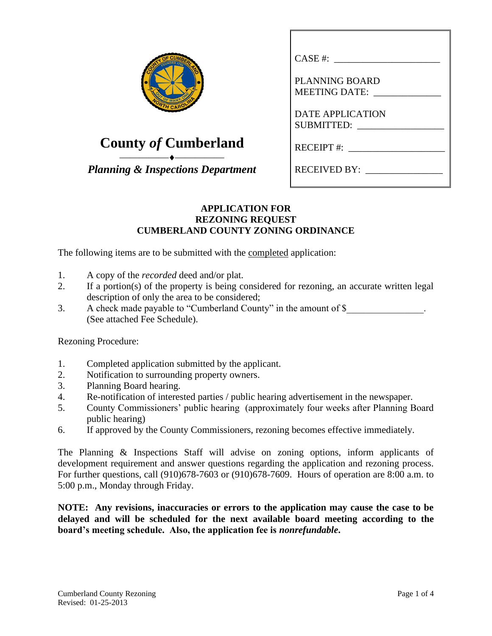| F CUMBERLAN<br>COUNDED 175 |
|----------------------------|
|                            |
| <b>OUT OF MANY ON</b>      |
| ٦<br><b>CAR</b>            |

## **County** *of* **Cumberland**

⎯⎯⎯⎯⎯⎯⎯⎯⎯⎯ *Planning & Inspections Department*

| CASE #:                                       |
|-----------------------------------------------|
| <b>PLANNING BOARD</b><br><b>MEETING DATE:</b> |
| <b>DATE APPLICATION</b><br>SUBMITTED:         |
| RECEIPT #:                                    |
| RECEIVED BY:                                  |

## **APPLICATION FOR REZONING REQUEST CUMBERLAND COUNTY ZONING ORDINANCE**

The following items are to be submitted with the completed application:

- 1. A copy of the *recorded* deed and/or plat.
- 2. If a portion(s) of the property is being considered for rezoning, an accurate written legal description of only the area to be considered;
- 3. A check made payable to "Cumberland County" in the amount of \$ (See attached Fee Schedule).

Rezoning Procedure:

- 1. Completed application submitted by the applicant.
- 2. Notification to surrounding property owners.
- 3. Planning Board hearing.
- 4. Re-notification of interested parties / public hearing advertisement in the newspaper.
- 5. County Commissioners' public hearing (approximately four weeks after Planning Board public hearing)
- 6. If approved by the County Commissioners, rezoning becomes effective immediately.

The Planning & Inspections Staff will advise on zoning options, inform applicants of development requirement and answer questions regarding the application and rezoning process. For further questions, call (910)678-7603 or (910)678-7609. Hours of operation are 8:00 a.m. to 5:00 p.m., Monday through Friday.

**NOTE: Any revisions, inaccuracies or errors to the application may cause the case to be delayed and will be scheduled for the next available board meeting according to the board's meeting schedule. Also, the application fee is** *nonrefundable***.**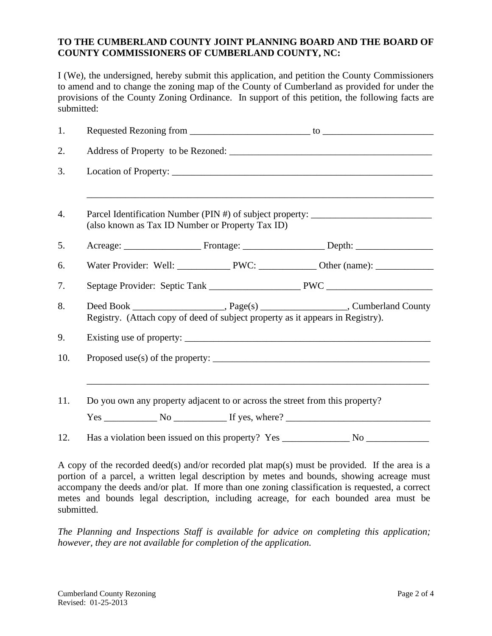## **TO THE CUMBERLAND COUNTY JOINT PLANNING BOARD AND THE BOARD OF COUNTY COMMISSIONERS OF CUMBERLAND COUNTY, NC:**

I (We), the undersigned, hereby submit this application, and petition the County Commissioners to amend and to change the zoning map of the County of Cumberland as provided for under the provisions of the County Zoning Ordinance. In support of this petition, the following facts are submitted:

| 1.  |                                                                                                                                                                          |  |  |  |  |  |
|-----|--------------------------------------------------------------------------------------------------------------------------------------------------------------------------|--|--|--|--|--|
| 2.  |                                                                                                                                                                          |  |  |  |  |  |
| 3.  |                                                                                                                                                                          |  |  |  |  |  |
| 4.  | Parcel Identification Number (PIN #) of subject property: ______________________<br>(also known as Tax ID Number or Property Tax ID)                                     |  |  |  |  |  |
| 5.  |                                                                                                                                                                          |  |  |  |  |  |
| 6.  |                                                                                                                                                                          |  |  |  |  |  |
| 7.  |                                                                                                                                                                          |  |  |  |  |  |
| 8.  | Deed Book ________________________, Page(s) _______________________, Cumberland County<br>Registry. (Attach copy of deed of subject property as it appears in Registry). |  |  |  |  |  |
| 9.  |                                                                                                                                                                          |  |  |  |  |  |
| 10. |                                                                                                                                                                          |  |  |  |  |  |
| 11. | Do you own any property adjacent to or across the street from this property?<br>$Yes \_$ No $_$ If yes, where? $_$                                                       |  |  |  |  |  |
| 12. |                                                                                                                                                                          |  |  |  |  |  |

A copy of the recorded deed(s) and/or recorded plat map(s) must be provided. If the area is a portion of a parcel, a written legal description by metes and bounds, showing acreage must accompany the deeds and/or plat. If more than one zoning classification is requested, a correct metes and bounds legal description, including acreage, for each bounded area must be submitted.

*The Planning and Inspections Staff is available for advice on completing this application; however, they are not available for completion of the application.*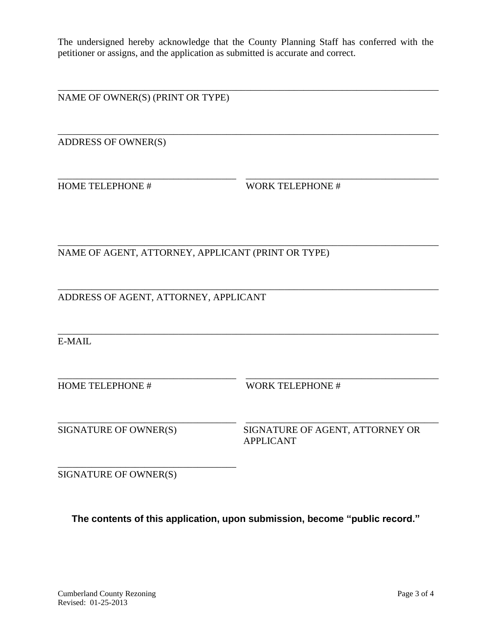The undersigned hereby acknowledge that the County Planning Staff has conferred with the petitioner or assigns, and the application as submitted is accurate and correct.

\_\_\_\_\_\_\_\_\_\_\_\_\_\_\_\_\_\_\_\_\_\_\_\_\_\_\_\_\_\_\_\_\_\_\_\_\_\_\_\_\_\_\_\_\_\_\_\_\_\_\_\_\_\_\_\_\_\_\_\_\_\_\_\_\_\_\_\_\_\_\_\_\_\_\_\_\_\_\_

\_\_\_\_\_\_\_\_\_\_\_\_\_\_\_\_\_\_\_\_\_\_\_\_\_\_\_\_\_\_\_\_\_\_\_\_\_\_\_\_\_\_\_\_\_\_\_\_\_\_\_\_\_\_\_\_\_\_\_\_\_\_\_\_\_\_\_\_\_\_\_\_\_\_\_\_\_\_\_

\_\_\_\_\_\_\_\_\_\_\_\_\_\_\_\_\_\_\_\_\_\_\_\_\_\_\_\_\_\_\_\_\_\_\_\_\_\_\_\_\_\_\_\_\_\_\_\_\_\_\_\_\_\_\_\_\_\_\_\_\_\_\_\_\_\_\_\_\_\_\_\_\_\_\_\_\_\_\_

\_\_\_\_\_\_\_\_\_\_\_\_\_\_\_\_\_\_\_\_\_\_\_\_\_\_\_\_\_\_\_\_\_\_\_\_\_ \_\_\_\_\_\_\_\_\_\_\_\_\_\_\_\_\_\_\_\_\_\_\_\_\_\_\_\_\_\_\_\_\_\_\_\_\_\_\_\_

\_\_\_\_\_\_\_\_\_\_\_\_\_\_\_\_\_\_\_\_\_\_\_\_\_\_\_\_\_\_\_\_\_\_\_\_\_ \_\_\_\_\_\_\_\_\_\_\_\_\_\_\_\_\_\_\_\_\_\_\_\_\_\_\_\_\_\_\_\_\_\_\_\_\_\_\_\_

NAME OF OWNER(S) (PRINT OR TYPE)

ADDRESS OF OWNER(S)

\_\_\_\_\_\_\_\_\_\_\_\_\_\_\_\_\_\_\_\_\_\_\_\_\_\_\_\_\_\_\_\_\_\_\_\_\_ \_\_\_\_\_\_\_\_\_\_\_\_\_\_\_\_\_\_\_\_\_\_\_\_\_\_\_\_\_\_\_\_\_\_\_\_\_\_\_\_ HOME TELEPHONE # WORK TELEPHONE #

NAME OF AGENT, ATTORNEY, APPLICANT (PRINT OR TYPE)

\_\_\_\_\_\_\_\_\_\_\_\_\_\_\_\_\_\_\_\_\_\_\_\_\_\_\_\_\_\_\_\_\_\_\_\_\_\_\_\_\_\_\_\_\_\_\_\_\_\_\_\_\_\_\_\_\_\_\_\_\_\_\_\_\_\_\_\_\_\_\_\_\_\_\_\_\_\_\_ ADDRESS OF AGENT, ATTORNEY, APPLICANT

\_\_\_\_\_\_\_\_\_\_\_\_\_\_\_\_\_\_\_\_\_\_\_\_\_\_\_\_\_\_\_\_\_\_\_\_\_\_\_\_\_\_\_\_\_\_\_\_\_\_\_\_\_\_\_\_\_\_\_\_\_\_\_\_\_\_\_\_\_\_\_\_\_\_\_\_\_\_\_ E-MAIL

HOME TELEPHONE # WORK TELEPHONE #

SIGNATURE OF OWNER(S) SIGNATURE OF AGENT, ATTORNEY OR APPLICANT

SIGNATURE OF OWNER(S)

\_\_\_\_\_\_\_\_\_\_\_\_\_\_\_\_\_\_\_\_\_\_\_\_\_\_\_\_\_\_\_\_\_\_\_\_\_

**The contents of this application, upon submission, become "public record."**